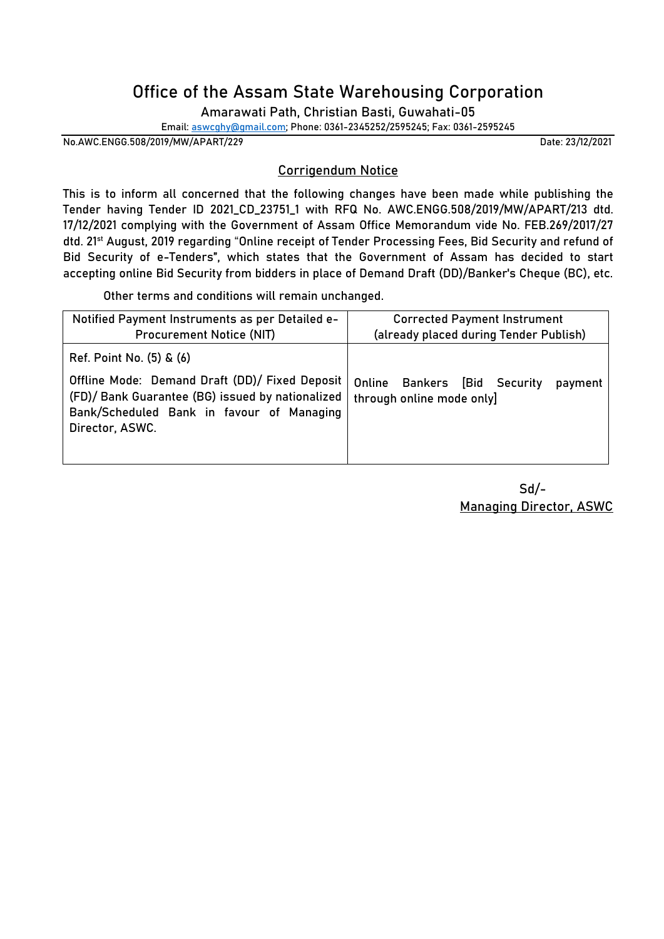## **Office of the Assam State Warehousing Corporation**

Amarawati Path, Christian Basti, Guwahati-05

**Email: [aswcghy@gmail.com;](mailto:aswcghy@gmail.com) Phone: 0361-2345252/2595245; Fax: 0361-2595245**

**No.AWC.ENGG.508/2019/MW/APART/229 Date: 23/12/2021**

## **Corrigendum Notice**

This is to inform all concerned that the following changes have been made while publishing the Tender having **Tender ID 2021\_CD\_23751\_1** with **RFQ No. AWC.ENGG.508/2019/MW/APART/213** dtd. 17/12/2021 complying with the Government of Assam Office Memorandum vide No. FEB.269/2017/27 dtd. 21st August, 2019 regarding "Online receipt of Tender Processing Fees, Bid Security and refund of Bid Security of e-Tenders", which states that the Government of Assam has decided to start accepting online Bid Security from bidders in place of Demand Draft (DD)/Banker's Cheque (BC), etc.

Other terms and conditions will remain unchanged.

| Ref. Point No. (5) & (6)                                                                                                                                                                                 |                                         |
|----------------------------------------------------------------------------------------------------------------------------------------------------------------------------------------------------------|-----------------------------------------|
| Offline Mode: Demand Draft (DD)/ Fixed Deposit<br>Online<br>(FD)/ Bank Guarantee (BG) issued by nationalized<br>through online mode only<br>Bank/Scheduled Bank in favour of Managing<br>Director, ASWC. | <b>Bankers [Bid Security</b><br>payment |

 Sd/- **Managing Director, ASWC**